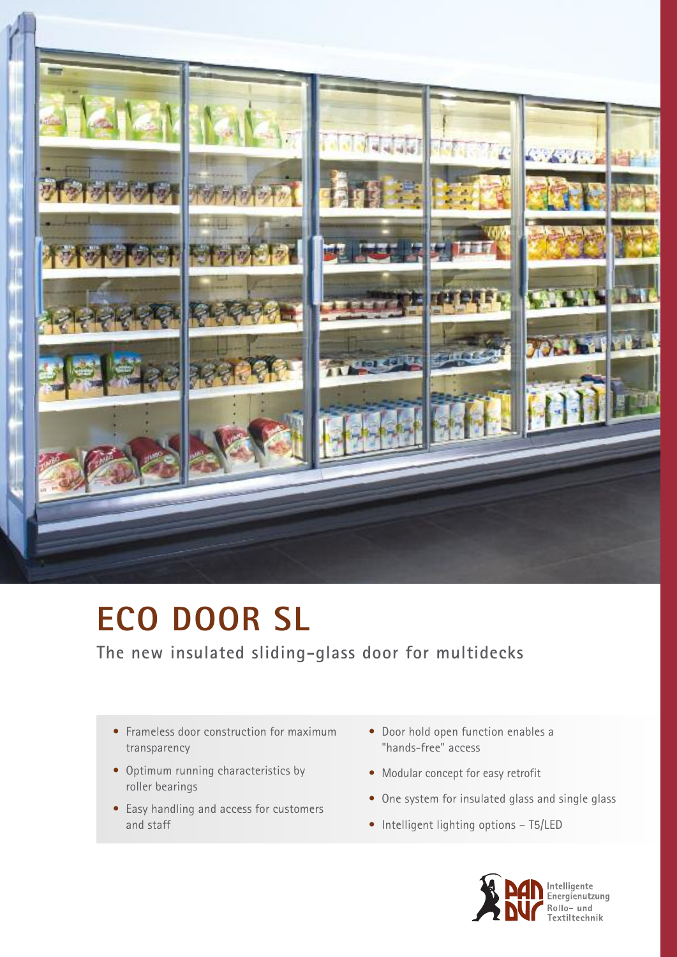

# **ECO DOOR SL**

**The new insulated sliding-glass door for multidecks**

- Frameless door construction for maximum transparency
- Optimum running characteristics by roller bearings
- Easy handling and access for customers and staff
- Door hold open function enables a "hands-free" access
- Modular concept for easy retrofit
- One system for insulated glass and single glass
- Intelligent lighting options T5/LED

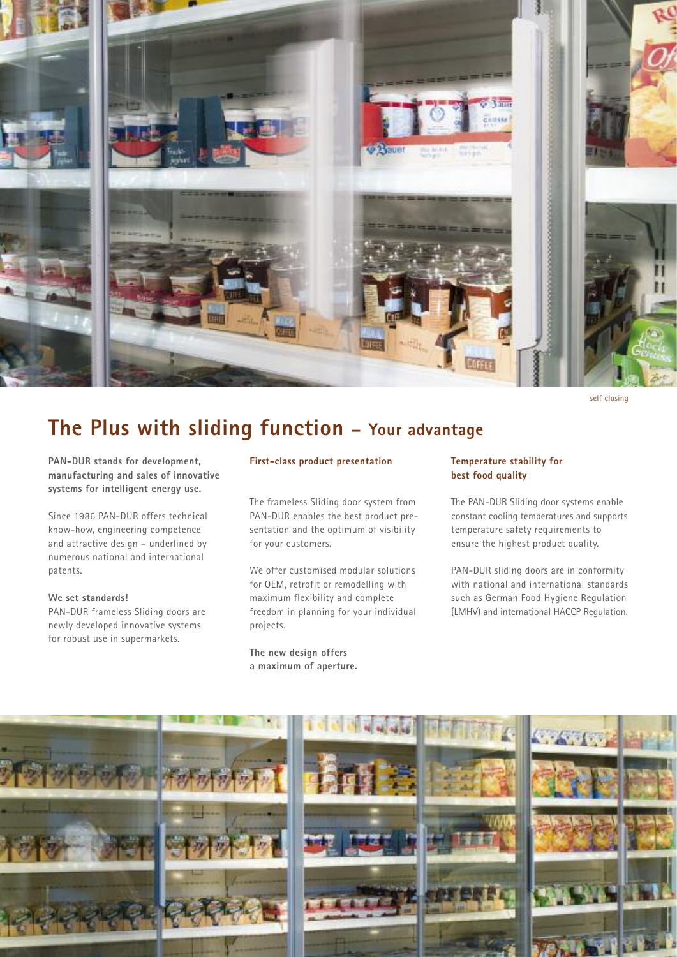

**self closing**

# **The Plus with sliding function – Your advantage**

**PAN-DUR stands for development, manufacturing and sales of innovative systems for intelligent energy use.**

Since 1986 PAN-DUR offers technical know-how, engineering competence and attractive design – underlined by numerous national and international patents.

**We set standards!** PAN-DUR frameless Sliding doors are newly developed innovative systems for robust use in supermarkets.

#### **First-class product presentation**

The frameless Sliding door system from PAN-DUR enables the best product presentation and the optimum of visibility for your customers.

We offer customised modular solutions for OEM, retrofit or remodelling with maximum flexibility and complete freedom in planning for your individual projects.

**The new design offers a maximum of aperture.**

### **Temperature stability for best food quality**

The PAN-DUR Sliding door systems enable constant cooling temperatures and supports temperature safety requirements to ensure the highest product quality.

PAN-DUR sliding doors are in conformity with national and international standards such as German Food Hygiene Regulation (LMHV) and international HACCP Regulation.

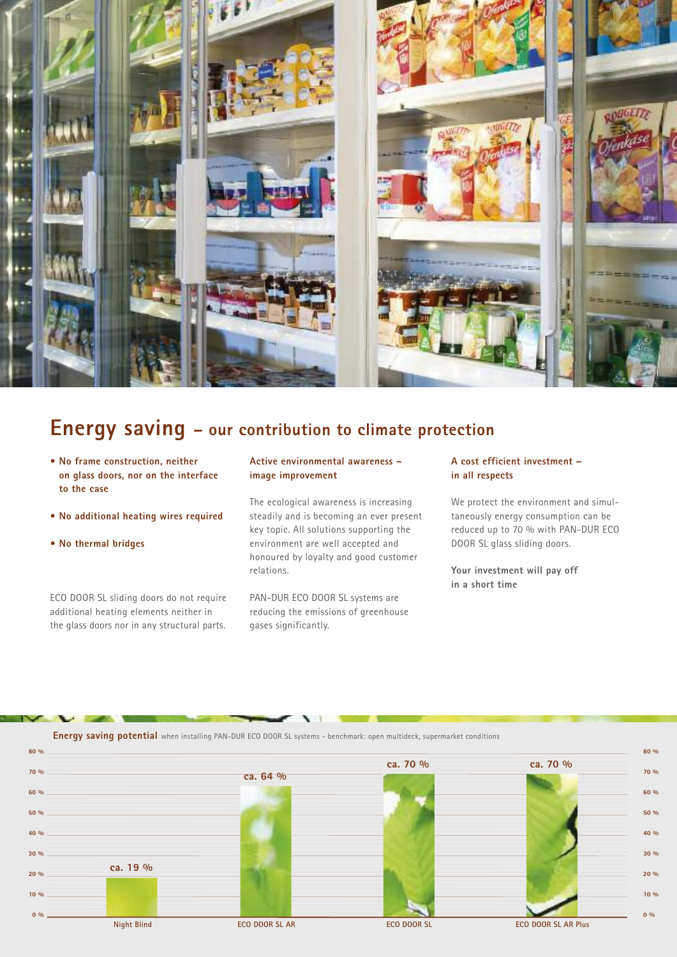

# **Energy saving – our contribution to climate protection**

- **• No frame construction, neither on glass doors, nor on the interface to the case**
- **• No additional heating wires required**
- **• No thermal bridges**

ECO DOOR SL sliding doors do not require additional heating elements neither in the glass doors nor in any structural parts.

### **Active environmental awareness – image improvement**

The ecological awareness is increasing steadily and is becoming an ever present key topic. All solutions supporting the environment are well accepted and honoured by loyalty and good customer relations.

PAN-DUR ECO DOOR SL systems are reducing the emissions of greenhouse gases significantly.

### **A cost efficient investment – in all respects**

We protect the environment and simultaneously energy consumption can be reduced up to 70 % with PAN-DUR ECO DOOR SL glass sliding doors.

**Your investment will pay off in a short time**

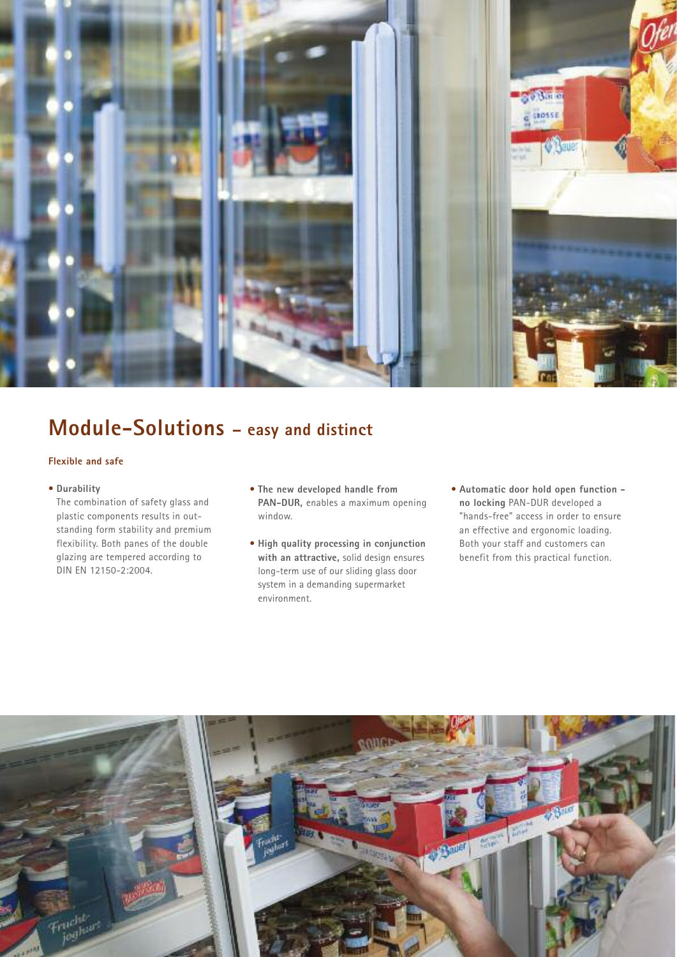

# **Module-Solutions – easy and distinct**

# **Flexible and safe**

• **Durability**

The combination of safety glass and plastic components results in outstanding form stability and premium flexibility. Both panes of the double glazing are tempered according to DIN EN 12150-2:2004.

- **The new developed handle from PAN-DUR,** enables a maximum opening window.
- **High quality processing in conjunction with an attractive,** solid design ensures long-term use of our sliding glass door system in a demanding supermarket environment.
- **Automatic door hold open function no locking** PAN-DUR developed a "hands-free" access in order to ensure an effective and ergonomic loading. Both your staff and customers can benefit from this practical function.

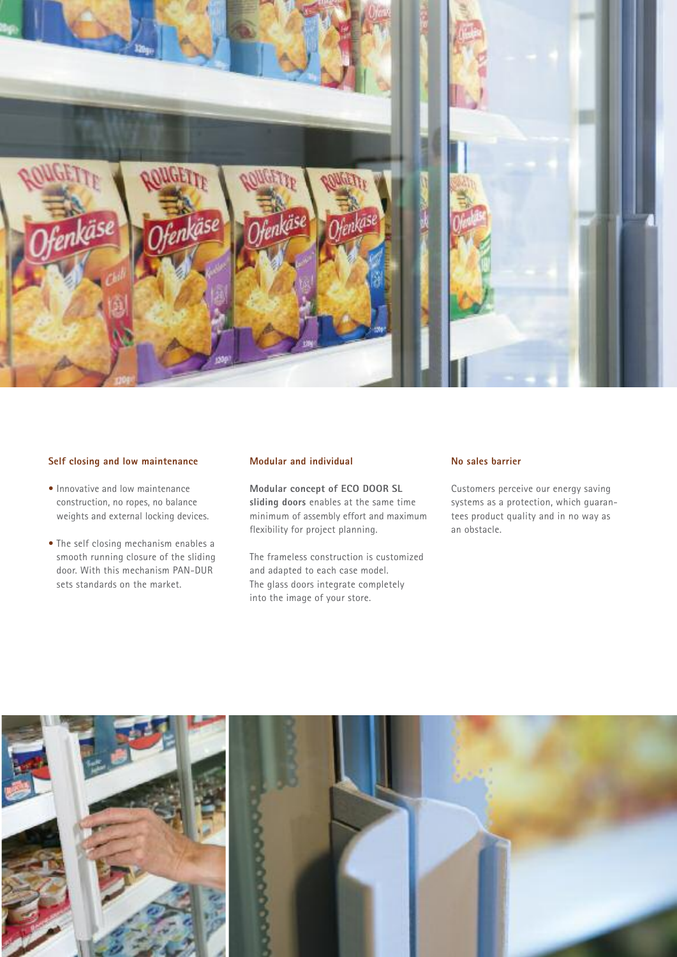

# **Self closing and low maintenance**

- Innovative and low maintenance construction, no ropes, no balance weights and external locking devices.
- The self closing mechanism enables a smooth running closure of the sliding door. With this mechanism PAN-DUR sets standards on the market.

#### **Modular and individual**

**Modular concept of ECO DOOR SL sliding doors** enables at the same time minimum of assembly effort and maximum flexibility for project planning.

The frameless construction is customized and adapted to each case model. The glass doors integrate completely into the image of your store.

#### **No sales barrier**

Customers perceive our energy saving systems as a protection, which guarantees product quality and in no way as an obstacle.

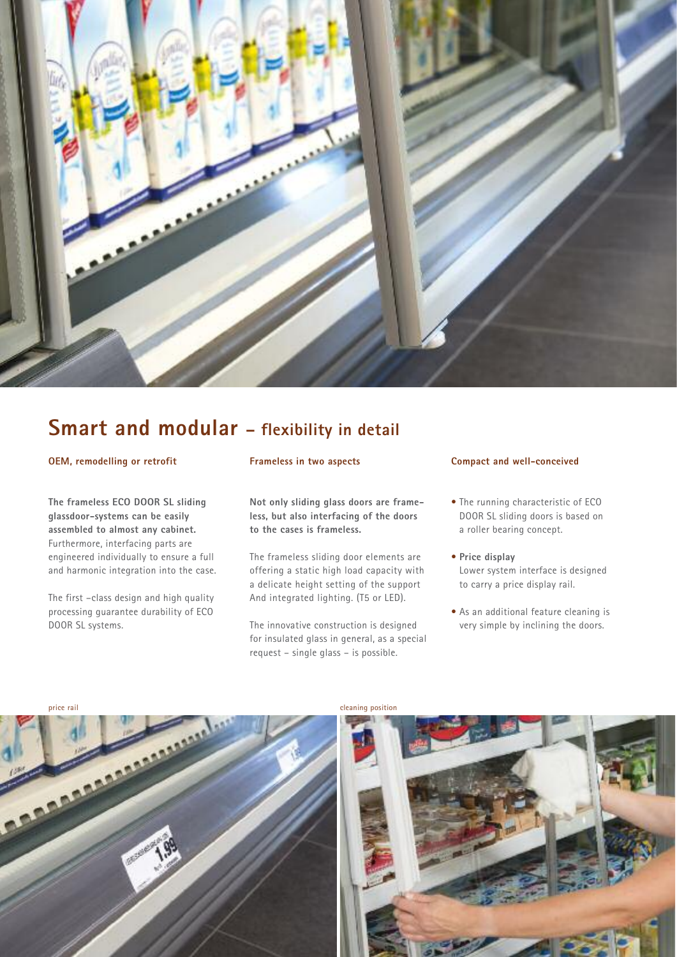

# **Smart and modular – flexibility in detail**

#### **OEM, remodelling or retrofit**

**The frameless ECO DOOR SL sliding glassdoor-systems can be easily assembled to almost any cabinet.** Furthermore, interfacing parts are engineered individually to ensure a full and harmonic integration into the case.

The first –class design and high quality processing guarantee durability of ECO DOOR SL systems.

### **Frameless in two aspects**

**Not only sliding glass doors are frameless, but also interfacing of the doors to the cases is frameless.**

The frameless sliding door elements are offering a static high load capacity with a delicate height setting of the support And integrated lighting. (T5 or LED).

The innovative construction is designed for insulated glass in general, as a special request – single glass – is possible.

#### **Compact and well-conceived**

- The running characteristic of ECO DOOR SL sliding doors is based on a roller bearing concept.
- **Price display** Lower system interface is designed to carry a price display rail.
- As an additional feature cleaning is very simple by inclining the doors.

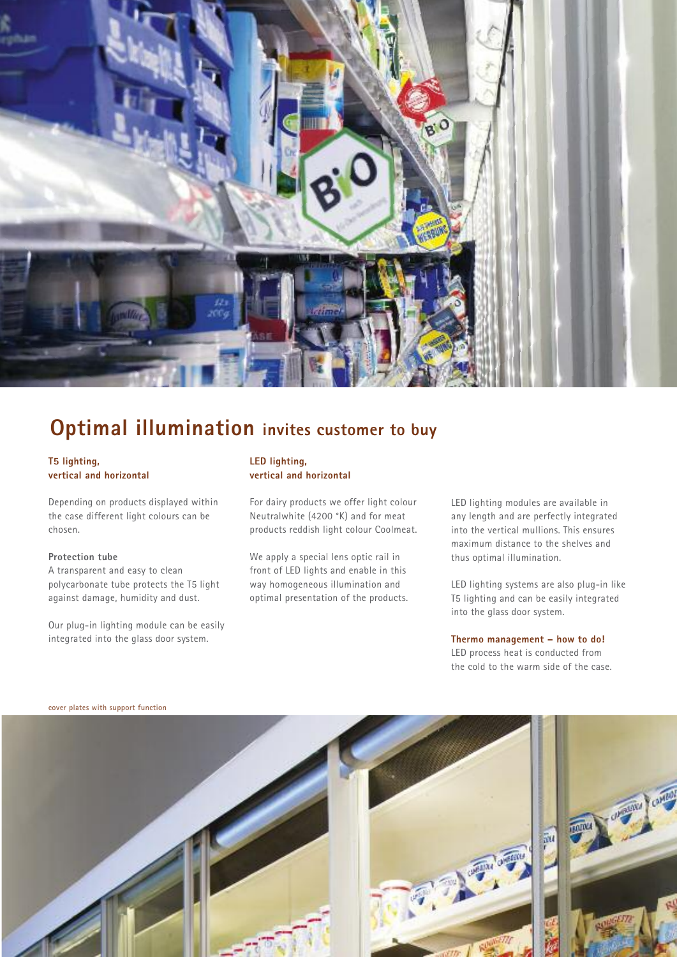

# **Optimal illumination invites customer to buy**

# **T5 lighting, vertical and horizontal**

Depending on products displayed within the case different light colours can be chosen.

#### **Protection tube**

A transparent and easy to clean polycarbonate tube protects the T5 light against damage, humidity and dust.

Our plug-in lighting module can be easily integrated into the glass door system.

### **LED lighting, vertical and horizontal**

For dairy products we offer light colour Neutralwhite (4200 °K) and for meat products reddish light colour Coolmeat.

We apply a special lens optic rail in front of LED lights and enable in this way homogeneous illumination and optimal presentation of the products. LED lighting modules are available in any length and are perfectly integrated into the vertical mullions. This ensures maximum distance to the shelves and thus optimal illumination.

LED lighting systems are also plug-in like T5 lighting and can be easily integrated into the glass door system.

### **Thermo management – how to do!** LED process heat is conducted from the cold to the warm side of the case.



**cover plates with support function**